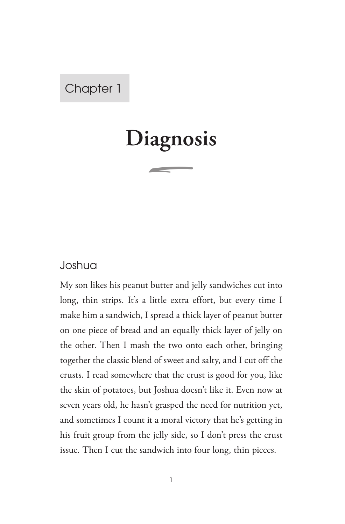# Chapter 1

# **Diagnosis**

## Joshua

My son likes his peanut butter and jelly sandwiches cut into long, thin strips. It's a little extra effort, but every time I make him a sandwich, I spread a thick layer of peanut butter on one piece of bread and an equally thick layer of jelly on the other. Then I mash the two onto each other, bringing together the classic blend of sweet and salty, and I cut off the crusts. I read somewhere that the crust is good for you, like the skin of potatoes, but Joshua doesn't like it. Even now at seven years old, he hasn't grasped the need for nutrition yet, and sometimes I count it a moral victory that he's getting in his fruit group from the jelly side, so I don't press the crust issue. Then I cut the sandwich into four long, thin pieces.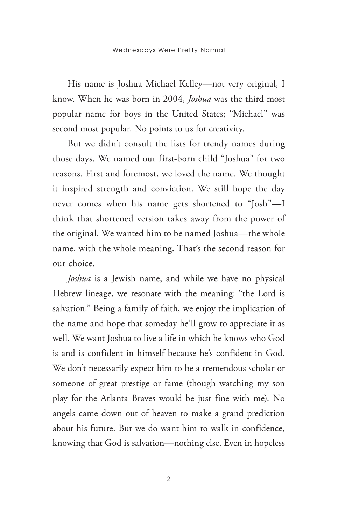His name is Joshua Michael Kelley—not very original, I know. When he was born in 2004, *Joshua* was the third most popular name for boys in the United States; "Michael" was second most popular. No points to us for creativity.

But we didn't consult the lists for trendy names during those days. We named our first-born child "Joshua" for two reasons. First and foremost, we loved the name. We thought it inspired strength and conviction. We still hope the day never comes when his name gets shortened to "Josh"—I think that shortened version takes away from the power of the original. We wanted him to be named Joshua—the whole name, with the whole meaning. That's the second reason for our choice.

*Joshua* is a Jewish name, and while we have no physical Hebrew lineage, we resonate with the meaning: "the Lord is salvation." Being a family of faith, we enjoy the implication of the name and hope that someday he'll grow to appreciate it as well. We want Joshua to live a life in which he knows who God is and is confident in himself because he's confident in God. We don't necessarily expect him to be a tremendous scholar or someone of great prestige or fame (though watching my son play for the Atlanta Braves would be just fine with me). No angels came down out of heaven to make a grand prediction about his future. But we do want him to walk in confidence, knowing that God is salvation—nothing else. Even in hopeless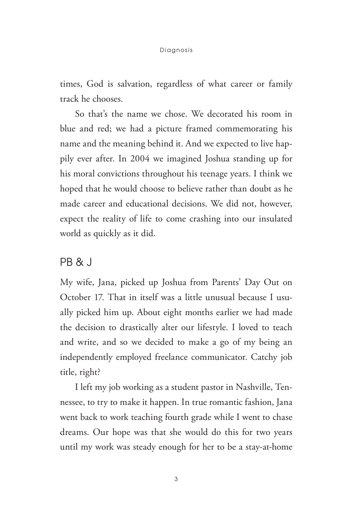times, God is salvation, regardless of what career or family track he chooses.

So that's the name we chose. We decorated his room in blue and red; we had a picture framed commemorating his name and the meaning behind it. And we expected to live happily ever after. In 2004 we imagined Joshua standing up for his moral convictions throughout his teenage years. I think we hoped that he would choose to believe rather than doubt as he made career and educational decisions. We did not, however, expect the reality of life to come crashing into our insulated world as quickly as it did.

## PB & J

My wife, Jana, picked up Joshua from Parents' Day Out on October 17. That in itself was a little unusual because I usually picked him up. About eight months earlier we had made the decision to drastically alter our lifestyle. I loved to teach and write, and so we decided to make a go of my being an independently employed freelance communicator. Catchy job title, right?

I left my job working as a student pastor in Nashville, Tennessee, to try to make it happen. In true romantic fashion, Jana went back to work teaching fourth grade while I went to chase dreams. Our hope was that she would do this for two years until my work was steady enough for her to be a stay-at-home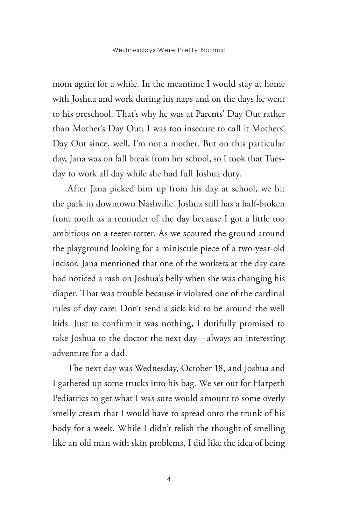mom again for a while. In the meantime I would stay at home with Joshua and work during his naps and on the days he went to his preschool. That's why he was at Parents' Day Out rather than Mother's Day Out; I was too insecure to call it Mothers' Day Out since, well, I'm not a mother. But on this particular day, Jana was on fall break from her school, so I took that Tuesday to work all day while she had full Joshua duty.

After Jana picked him up from his day at school, we hit the park in downtown Nashville. Joshua still has a half-broken front tooth as a reminder of the day because I got a little too ambitious on a teeter-totter. As we scoured the ground around the playground looking for a miniscule piece of a two-year-old incisor, Jana mentioned that one of the workers at the day care had noticed a rash on Joshua's belly when she was changing his diaper. That was trouble because it violated one of the cardinal rules of day care: Don't send a sick kid to be around the well kids. Just to confirm it was nothing, I dutifully promised to take Joshua to the doctor the next day—always an interesting adventure for a dad.

The next day was Wednesday, October 18, and Joshua and I gathered up some trucks into his bag. We set out for Harpeth Pediatrics to get what I was sure would amount to some overly smelly cream that I would have to spread onto the trunk of his body for a week. While I didn't relish the thought of smelling like an old man with skin problems, I did like the idea of being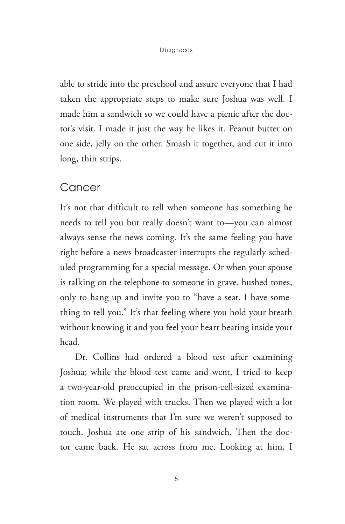able to stride into the preschool and assure everyone that I had taken the appropriate steps to make sure Joshua was well. I made him a sandwich so we could have a picnic after the doctor's visit. I made it just the way he likes it. Peanut butter on one side, jelly on the other. Smash it together, and cut it into long, thin strips.

## Cancer

It's not that difficult to tell when someone has something he needs to tell you but really doesn't want to—you can almost always sense the news coming. It's the same feeling you have right before a news broadcaster interrupts the regularly scheduled programming for a special message. Or when your spouse is talking on the telephone to someone in grave, hushed tones, only to hang up and invite you to "have a seat. I have something to tell you." It's that feeling where you hold your breath without knowing it and you feel your heart beating inside your head.

Dr. Collins had ordered a blood test after examining Joshua; while the blood test came and went, I tried to keep a two-year-old preoccupied in the prison-cell-sized examination room. We played with trucks. Then we played with a lot of medical instruments that I'm sure we weren't supposed to touch. Joshua ate one strip of his sandwich. Then the doctor came back. He sat across from me. Looking at him, I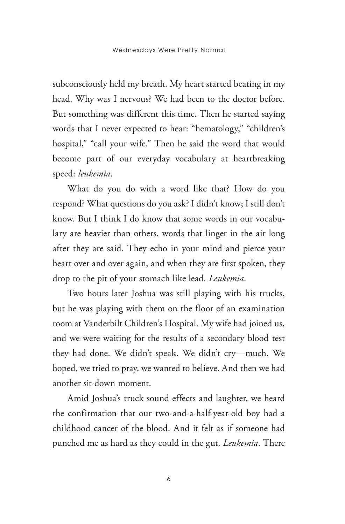subconsciously held my breath. My heart started beating in my head. Why was I nervous? We had been to the doctor before. But something was different this time. Then he started saying words that I never expected to hear: "hematology," "children's hospital," "call your wife." Then he said the word that would become part of our everyday vocabulary at heartbreaking speed: *leukemia*.

What do you do with a word like that? How do you respond? What questions do you ask? I didn't know; I still don't know. But I think I do know that some words in our vocabulary are heavier than others, words that linger in the air long after they are said. They echo in your mind and pierce your heart over and over again, and when they are first spoken, they drop to the pit of your stomach like lead. *Leukemia*.

Two hours later Joshua was still playing with his trucks, but he was playing with them on the floor of an examination room at Vanderbilt Children's Hospital. My wife had joined us, and we were waiting for the results of a secondary blood test they had done. We didn't speak. We didn't cry—much. We hoped, we tried to pray, we wanted to believe. And then we had another sit-down moment.

Amid Joshua's truck sound effects and laughter, we heard the confirmation that our two-and-a-half-year-old boy had a childhood cancer of the blood. And it felt as if someone had punched me as hard as they could in the gut. *Leukemia*. There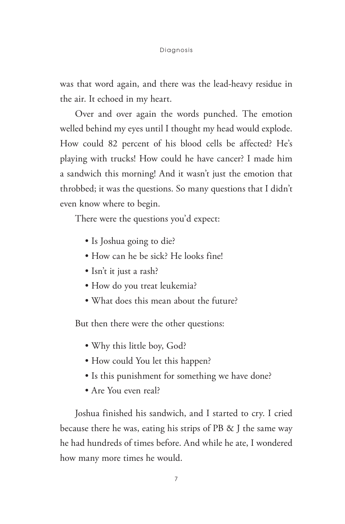was that word again, and there was the lead-heavy residue in the air. It echoed in my heart.

Over and over again the words punched. The emotion welled behind my eyes until I thought my head would explode. How could 82 percent of his blood cells be affected? He's playing with trucks! How could he have cancer? I made him a sandwich this morning! And it wasn't just the emotion that throbbed; it was the questions. So many questions that I didn't even know where to begin.

There were the questions you'd expect:

- Is Joshua going to die?
- How can he be sick? He looks fine!
- Isn't it just a rash?
- How do you treat leukemia?
- What does this mean about the future?

But then there were the other questions:

- Why this little boy, God?
- How could You let this happen?
- Is this punishment for something we have done?
- Are You even real?

Joshua finished his sandwich, and I started to cry. I cried because there he was, eating his strips of PB & J the same way he had hundreds of times before. And while he ate, I wondered how many more times he would.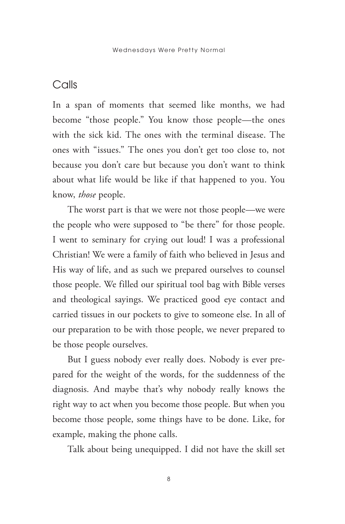## Calls

In a span of moments that seemed like months, we had become "those people." You know those people—the ones with the sick kid. The ones with the terminal disease. The ones with "issues." The ones you don't get too close to, not because you don't care but because you don't want to think about what life would be like if that happened to you. You know, *those* people.

The worst part is that we were not those people—we were the people who were supposed to "be there" for those people. I went to seminary for crying out loud! I was a professional Christian! We were a family of faith who believed in Jesus and His way of life, and as such we prepared ourselves to counsel those people. We filled our spiritual tool bag with Bible verses and theological sayings. We practiced good eye contact and carried tissues in our pockets to give to someone else. In all of our preparation to be with those people, we never prepared to be those people ourselves.

But I guess nobody ever really does. Nobody is ever prepared for the weight of the words, for the suddenness of the diagnosis. And maybe that's why nobody really knows the right way to act when you become those people. But when you become those people, some things have to be done. Like, for example, making the phone calls.

Talk about being unequipped. I did not have the skill set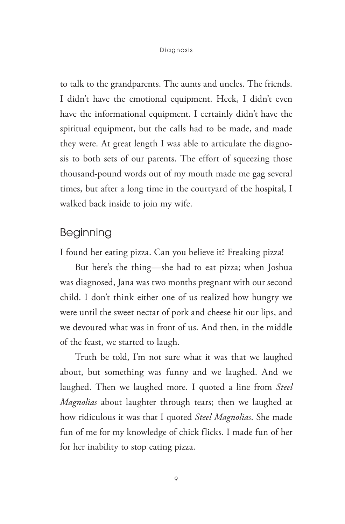to talk to the grandparents. The aunts and uncles. The friends. I didn't have the emotional equipment. Heck, I didn't even have the informational equipment. I certainly didn't have the spiritual equipment, but the calls had to be made, and made they were. At great length I was able to articulate the diagnosis to both sets of our parents. The effort of squeezing those thousand-pound words out of my mouth made me gag several times, but after a long time in the courtyard of the hospital, I walked back inside to join my wife.

# Beginning

I found her eating pizza. Can you believe it? Freaking pizza!

But here's the thing—she had to eat pizza; when Joshua was diagnosed, Jana was two months pregnant with our second child. I don't think either one of us realized how hungry we were until the sweet nectar of pork and cheese hit our lips, and we devoured what was in front of us. And then, in the middle of the feast, we started to laugh.

Truth be told, I'm not sure what it was that we laughed about, but something was funny and we laughed. And we laughed. Then we laughed more. I quoted a line from *Steel Magnolias* about laughter through tears; then we laughed at how ridiculous it was that I quoted *Steel Magnolias*. She made fun of me for my knowledge of chick flicks. I made fun of her for her inability to stop eating pizza.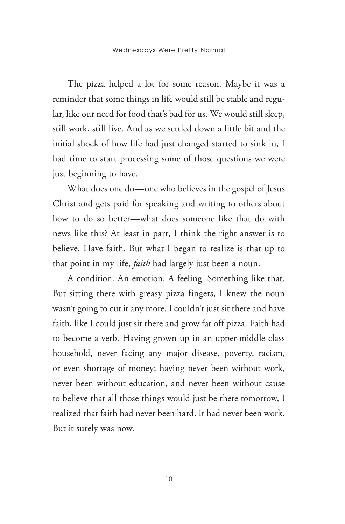The pizza helped a lot for some reason. Maybe it was a reminder that some things in life would still be stable and regular, like our need for food that's bad for us. We would still sleep, still work, still live. And as we settled down a little bit and the initial shock of how life had just changed started to sink in, I had time to start processing some of those questions we were just beginning to have.

What does one do—one who believes in the gospel of Jesus Christ and gets paid for speaking and writing to others about how to do so better—what does someone like that do with news like this? At least in part, I think the right answer is to believe. Have faith. But what I began to realize is that up to that point in my life, *faith* had largely just been a noun.

A condition. An emotion. A feeling. Something like that. But sitting there with greasy pizza fingers, I knew the noun wasn't going to cut it any more. I couldn't just sit there and have faith, like I could just sit there and grow fat off pizza. Faith had to become a verb. Having grown up in an upper-middle-class household, never facing any major disease, poverty, racism, or even shortage of money; having never been without work, never been without education, and never been without cause to believe that all those things would just be there tomorrow, I realized that faith had never been hard. It had never been work. But it surely was now.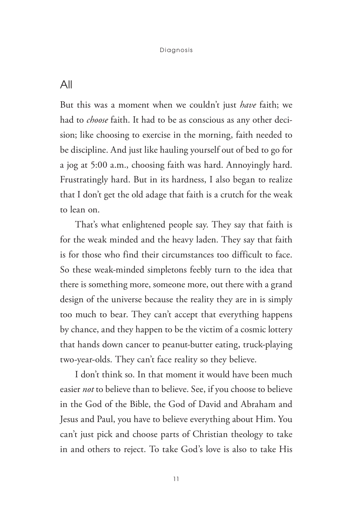## All

But this was a moment when we couldn't just *have* faith; we had to *choose* faith. It had to be as conscious as any other decision; like choosing to exercise in the morning, faith needed to be discipline. And just like hauling yourself out of bed to go for a jog at 5:00 a.m., choosing faith was hard. Annoyingly hard. Frustratingly hard. But in its hardness, I also began to realize that I don't get the old adage that faith is a crutch for the weak to lean on.

That's what enlightened people say. They say that faith is for the weak minded and the heavy laden. They say that faith is for those who find their circumstances too difficult to face. So these weak-minded simpletons feebly turn to the idea that there is something more, someone more, out there with a grand design of the universe because the reality they are in is simply too much to bear. They can't accept that everything happens by chance, and they happen to be the victim of a cosmic lottery that hands down cancer to peanut-butter eating, truck-playing two-year-olds. They can't face reality so they believe.

I don't think so. In that moment it would have been much easier *not* to believe than to believe. See, if you choose to believe in the God of the Bible, the God of David and Abraham and Jesus and Paul, you have to believe everything about Him. You can't just pick and choose parts of Christian theology to take in and others to reject. To take God's love is also to take His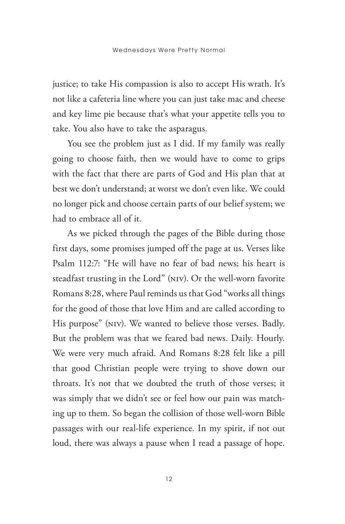justice; to take His compassion is also to accept His wrath. It's not like a cafeteria line where you can just take mac and cheese and key lime pie because that's what your appetite tells you to take. You also have to take the asparagus.

You see the problem just as I did. If my family was really going to choose faith, then we would have to come to grips with the fact that there are parts of God and His plan that at best we don't understand; at worst we don't even like. We could no longer pick and choose certain parts of our belief system; we had to embrace all of it.

As we picked through the pages of the Bible during those first days, some promises jumped off the page at us. Verses like Psalm 112:7: "He will have no fear of bad news; his heart is steadfast trusting in the Lord" (niv). Or the well-worn favorite Romans 8:28, where Paul reminds us that God "works all things for the good of those that love Him and are called according to His purpose" (niv). We wanted to believe those verses. Badly. But the problem was that we feared bad news. Daily. Hourly. We were very much afraid. And Romans 8:28 felt like a pill that good Christian people were trying to shove down our throats. It's not that we doubted the truth of those verses; it was simply that we didn't see or feel how our pain was matching up to them. So began the collision of those well-worn Bible passages with our real-life experience. In my spirit, if not out loud, there was always a pause when I read a passage of hope.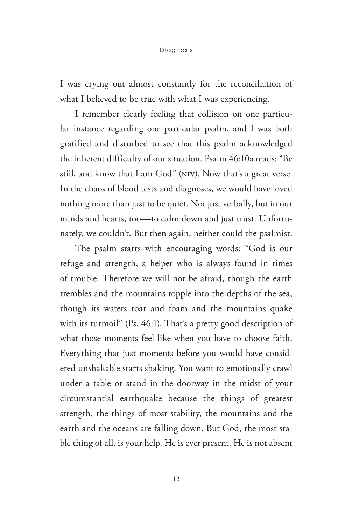I was crying out almost constantly for the reconciliation of what I believed to be true with what I was experiencing.

I remember clearly feeling that collision on one particular instance regarding one particular psalm, and I was both gratified and disturbed to see that this psalm acknowledged the inherent difficulty of our situation. Psalm 46:10a reads: "Be still, and know that I am God" (niv). Now that's a great verse. In the chaos of blood tests and diagnoses, we would have loved nothing more than just to be quiet. Not just verbally, but in our minds and hearts, too—to calm down and just trust. Unfortunately, we couldn't. But then again, neither could the psalmist.

The psalm starts with encouraging words: "God is our refuge and strength, a helper who is always found in times of trouble. Therefore we will not be afraid, though the earth trembles and the mountains topple into the depths of the sea, though its waters roar and foam and the mountains quake with its turmoil" (Ps. 46:1). That's a pretty good description of what those moments feel like when you have to choose faith. Everything that just moments before you would have considered unshakable starts shaking. You want to emotionally crawl under a table or stand in the doorway in the midst of your circumstantial earthquake because the things of greatest strength, the things of most stability, the mountains and the earth and the oceans are falling down. But God, the most stable thing of all, is your help. He is ever present. He is not absent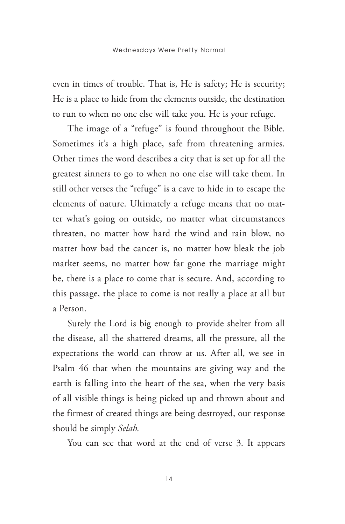even in times of trouble. That is, He is safety; He is security; He is a place to hide from the elements outside, the destination to run to when no one else will take you. He is your refuge.

The image of a "refuge" is found throughout the Bible. Sometimes it's a high place, safe from threatening armies. Other times the word describes a city that is set up for all the greatest sinners to go to when no one else will take them. In still other verses the "refuge" is a cave to hide in to escape the elements of nature. Ultimately a refuge means that no matter what's going on outside, no matter what circumstances threaten, no matter how hard the wind and rain blow, no matter how bad the cancer is, no matter how bleak the job market seems, no matter how far gone the marriage might be, there is a place to come that is secure. And, according to this passage, the place to come is not really a place at all but a Person.

Surely the Lord is big enough to provide shelter from all the disease, all the shattered dreams, all the pressure, all the expectations the world can throw at us. After all, we see in Psalm 46 that when the mountains are giving way and the earth is falling into the heart of the sea, when the very basis of all visible things is being picked up and thrown about and the firmest of created things are being destroyed, our response should be simply *Selah.*

You can see that word at the end of verse 3. It appears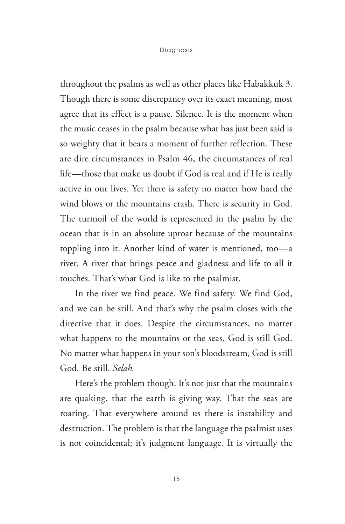throughout the psalms as well as other places like Habakkuk 3. Though there is some discrepancy over its exact meaning, most agree that its effect is a pause. Silence. It is the moment when the music ceases in the psalm because what has just been said is so weighty that it bears a moment of further reflection. These are dire circumstances in Psalm 46, the circumstances of real life—those that make us doubt if God is real and if He is really active in our lives. Yet there is safety no matter how hard the wind blows or the mountains crash. There is security in God. The turmoil of the world is represented in the psalm by the ocean that is in an absolute uproar because of the mountains toppling into it. Another kind of water is mentioned, too—a river. A river that brings peace and gladness and life to all it touches. That's what God is like to the psalmist.

In the river we find peace. We find safety. We find God, and we can be still. And that's why the psalm closes with the directive that it does. Despite the circumstances, no matter what happens to the mountains or the seas, God is still God. No matter what happens in your son's bloodstream, God is still God. Be still. *Selah.*

Here's the problem though. It's not just that the mountains are quaking, that the earth is giving way. That the seas are roaring. That everywhere around us there is instability and destruction. The problem is that the language the psalmist uses is not coincidental; it's judgment language. It is virtually the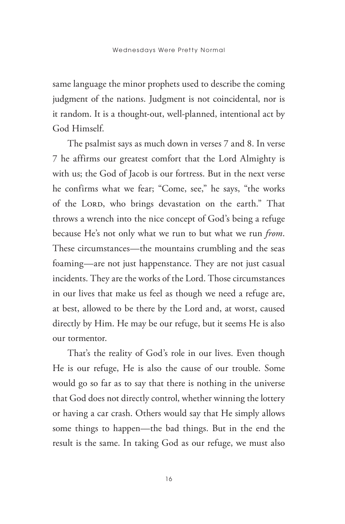same language the minor prophets used to describe the coming judgment of the nations. Judgment is not coincidental, nor is it random. It is a thought-out, well-planned, intentional act by God Himself.

The psalmist says as much down in verses 7 and 8. In verse 7 he affirms our greatest comfort that the Lord Almighty is with us; the God of Jacob is our fortress. But in the next verse he confirms what we fear; "Come, see," he says, "the works of the LORD, who brings devastation on the earth." That throws a wrench into the nice concept of God's being a refuge because He's not only what we run to but what we run *from*. These circumstances—the mountains crumbling and the seas foaming—are not just happenstance. They are not just casual incidents. They are the works of the Lord. Those circumstances in our lives that make us feel as though we need a refuge are, at best, allowed to be there by the Lord and, at worst, caused directly by Him. He may be our refuge, but it seems He is also our tormentor.

That's the reality of God's role in our lives. Even though He is our refuge, He is also the cause of our trouble. Some would go so far as to say that there is nothing in the universe that God does not directly control, whether winning the lottery or having a car crash. Others would say that He simply allows some things to happen—the bad things. But in the end the result is the same. In taking God as our refuge, we must also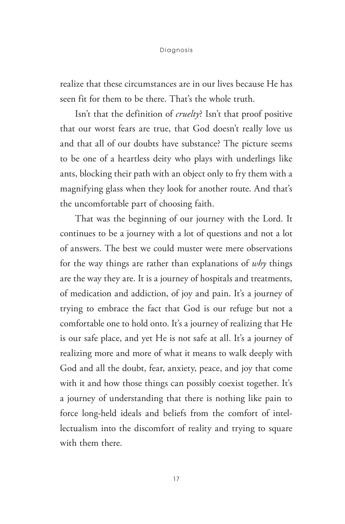realize that these circumstances are in our lives because He has seen fit for them to be there. That's the whole truth.

Isn't that the definition of *cruelty*? Isn't that proof positive that our worst fears are true, that God doesn't really love us and that all of our doubts have substance? The picture seems to be one of a heartless deity who plays with underlings like ants, blocking their path with an object only to fry them with a magnifying glass when they look for another route. And that's the uncomfortable part of choosing faith.

That was the beginning of our journey with the Lord. It continues to be a journey with a lot of questions and not a lot of answers. The best we could muster were mere observations for the way things are rather than explanations of *why* things are the way they are. It is a journey of hospitals and treatments, of medication and addiction, of joy and pain. It's a journey of trying to embrace the fact that God is our refuge but not a comfortable one to hold onto. It's a journey of realizing that He is our safe place, and yet He is not safe at all. It's a journey of realizing more and more of what it means to walk deeply with God and all the doubt, fear, anxiety, peace, and joy that come with it and how those things can possibly coexist together. It's a journey of understanding that there is nothing like pain to force long-held ideals and beliefs from the comfort of intellectualism into the discomfort of reality and trying to square with them there.